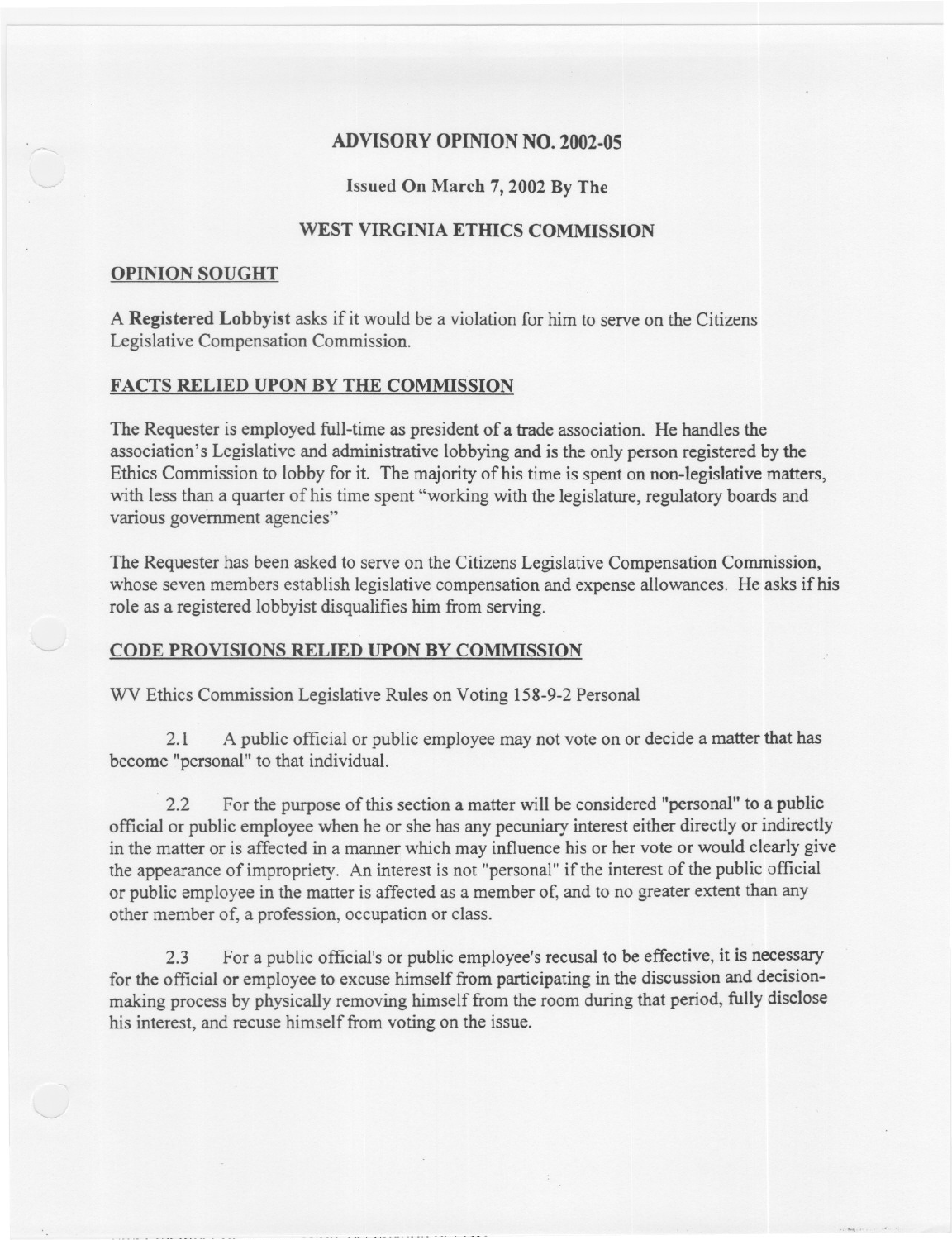# ADVISORYOPINION NO. 2002-05

## Issued On March 7, 2002 By The

# WEST VIRGINIA ETHICS COMMISSION

#### OPINION SOUGHT

A Registered Lobbyist asks if it would be a violation for him to serve on the Citizens Legislative Compensation Commission.

### FACTS RELIED UPON BY THE COMMISSION

The Requester is employed full-time as president of a trade association. He handles the association's Legislative and administrative lobbying and is the only person registered by the Ethics Commission to lobby for it. The majority of his time is spent on non-legislative matters, with less than a quarter of his time spent "working with the legislature, regulatory boards and various government agencies"

The Requester has been asked to serve on the Citizens Legislative Compensation Commission, whose seven members establish legislative compensation and expense allowances. He asks if his role as a registered lobbyist disqualifies him from serving.

### CODE PROVISIONS RELIED UPON BY COMMISSION

WV Ethics Commission Legislative Rules on Voting 158-9-2 Personal

2.1 A public official or public employee may not vote on or decide a matter that has become "personal" to that individual.

2.2 For the purpose of this section a matter will be considered "personal" to a public official or public employee when he or she has any pecuniary interest either directly or indirectly in the matter or is affected in a manner which may influence his or her vote or would clearly give the appearance of impropriety. An interest is not "personal" if the interest of the public official or public employee in the matter is affected as a member of, and to no greater extent than any other member of, a profession, occupation or class.

2.3 For a public official's or public employee's recusal to be effective, it is necessary for the official or employee to excuse himself from participating in the discussion and decisionmaking process by physically removing himself from the room during that period, fully disclose his interest, and recuse himself from voting on the issue.